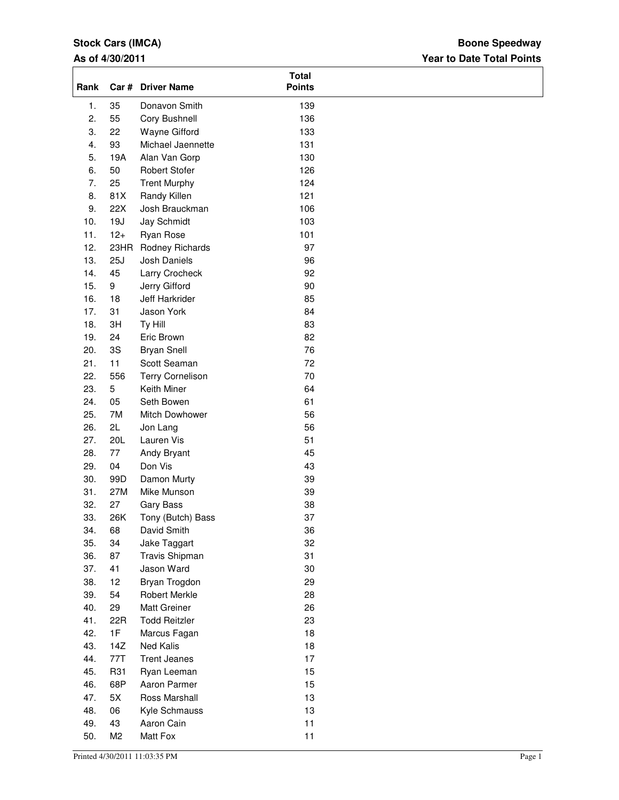# **Stock Cars (IMCA)**

## **As of 4/30/2011**

## **Year to Date Total Points Boone Speedway**

| Rank |                | Car # Driver Name       | <b>Total</b><br><b>Points</b> |  |
|------|----------------|-------------------------|-------------------------------|--|
| 1.   | 35             | Donavon Smith           | 139                           |  |
| 2.   | 55             | Cory Bushnell           | 136                           |  |
| 3.   | 22             | Wayne Gifford           | 133                           |  |
| 4.   | 93             | Michael Jaennette       | 131                           |  |
| 5.   | 19A            | Alan Van Gorp           | 130                           |  |
| 6.   | 50             | <b>Robert Stofer</b>    | 126                           |  |
| 7.   | 25             | <b>Trent Murphy</b>     | 124                           |  |
| 8.   | 81X            | Randy Killen            | 121                           |  |
| 9.   | 22X            | Josh Brauckman          | 106                           |  |
| 10.  | 19J            | Jay Schmidt             | 103                           |  |
| 11.  | $12+$          | Ryan Rose               | 101                           |  |
| 12.  |                | 23HR Rodney Richards    | 97                            |  |
| 13.  | 25J            | Josh Daniels            | 96                            |  |
| 14.  | 45             | Larry Crocheck          | 92                            |  |
| 15.  | 9              | Jerry Gifford           | 90                            |  |
| 16.  | 18             | Jeff Harkrider          | 85                            |  |
| 17.  | 31             | Jason York              | 84                            |  |
| 18.  | 3H             | Ty Hill                 | 83                            |  |
| 19.  | 24             | Eric Brown              | 82                            |  |
| 20.  | 3S             | <b>Bryan Snell</b>      | 76                            |  |
| 21.  | 11             | Scott Seaman            | 72                            |  |
| 22.  | 556            | <b>Terry Cornelison</b> | 70                            |  |
| 23.  | 5              | Keith Miner             | 64                            |  |
| 24.  | 05             | Seth Bowen              | 61                            |  |
| 25.  | 7M             | Mitch Dowhower          | 56                            |  |
| 26.  | 2L             | Jon Lang                | 56                            |  |
| 27.  | 20L            | Lauren Vis              | 51                            |  |
| 28.  | 77             | Andy Bryant             | 45                            |  |
| 29.  | 04             | Don Vis                 | 43                            |  |
| 30.  | 99D            | Damon Murty             | 39                            |  |
| 31.  | 27M            | Mike Munson             | 39                            |  |
| 32.  | 27             | Gary Bass               | 38                            |  |
| 33.  | 26K            | Tony (Butch) Bass       | 37                            |  |
| 34.  | 68             | David Smith             | 36                            |  |
| 35.  | 34             | Jake Taggart            | 32                            |  |
| 36.  | 87             | Travis Shipman          | 31                            |  |
| 37.  | 41             | Jason Ward              | 30                            |  |
| 38.  | 12             | Bryan Trogdon           | 29                            |  |
| 39.  | 54             | <b>Robert Merkle</b>    | 28                            |  |
| 40.  | 29             | Matt Greiner            | 26                            |  |
| 41.  | 22R            | <b>Todd Reitzler</b>    | 23                            |  |
| 42.  | 1F             | Marcus Fagan            | 18                            |  |
| 43.  | 14Z            | Ned Kalis               | 18                            |  |
| 44.  | 77T            | <b>Trent Jeanes</b>     | 17                            |  |
| 45.  | R31            | Ryan Leeman             | 15                            |  |
| 46.  | 68P            | Aaron Parmer            | 15                            |  |
| 47.  | 5X             | Ross Marshall           | 13                            |  |
| 48.  | 06             | Kyle Schmauss           | 13                            |  |
| 49.  | 43             | Aaron Cain              | 11                            |  |
| 50.  | M <sub>2</sub> | Matt Fox                | 11                            |  |